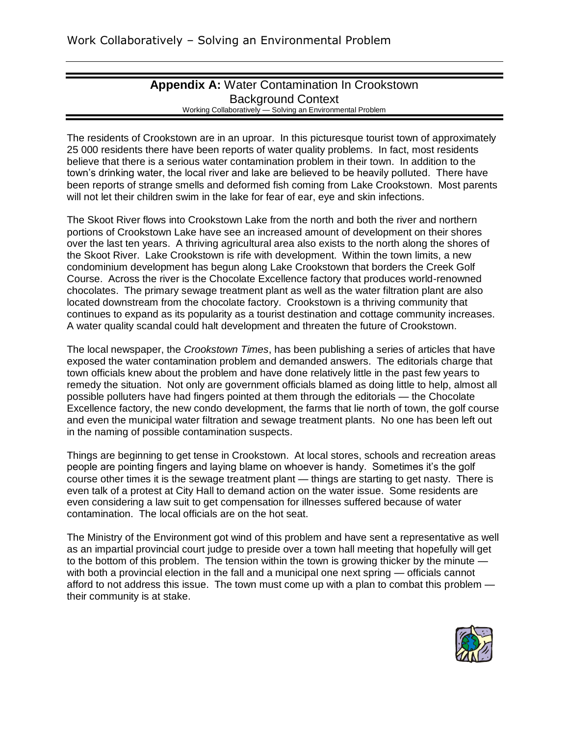#### **Appendix A:** Water Contamination In Crookstown Background Context Working Collaboratively — Solving an Environmental Problem

The residents of Crookstown are in an uproar. In this picturesque tourist town of approximately 25 000 residents there have been reports of water quality problems. In fact, most residents believe that there is a serious water contamination problem in their town. In addition to the town's drinking water, the local river and lake are believed to be heavily polluted. There have been reports of strange smells and deformed fish coming from Lake Crookstown. Most parents will not let their children swim in the lake for fear of ear, eye and skin infections.

The Skoot River flows into Crookstown Lake from the north and both the river and northern portions of Crookstown Lake have see an increased amount of development on their shores over the last ten years. A thriving agricultural area also exists to the north along the shores of the Skoot River. Lake Crookstown is rife with development. Within the town limits, a new condominium development has begun along Lake Crookstown that borders the Creek Golf Course. Across the river is the Chocolate Excellence factory that produces world-renowned chocolates. The primary sewage treatment plant as well as the water filtration plant are also located downstream from the chocolate factory. Crookstown is a thriving community that continues to expand as its popularity as a tourist destination and cottage community increases. A water quality scandal could halt development and threaten the future of Crookstown.

The local newspaper, the *Crookstown Times*, has been publishing a series of articles that have exposed the water contamination problem and demanded answers. The editorials charge that town officials knew about the problem and have done relatively little in the past few years to remedy the situation. Not only are government officials blamed as doing little to help, almost all possible polluters have had fingers pointed at them through the editorials — the Chocolate Excellence factory, the new condo development, the farms that lie north of town, the golf course and even the municipal water filtration and sewage treatment plants. No one has been left out in the naming of possible contamination suspects.

Things are beginning to get tense in Crookstown. At local stores, schools and recreation areas people are pointing fingers and laying blame on whoever is handy. Sometimes it's the golf course other times it is the sewage treatment plant — things are starting to get nasty. There is even talk of a protest at City Hall to demand action on the water issue. Some residents are even considering a law suit to get compensation for illnesses suffered because of water contamination. The local officials are on the hot seat.

The Ministry of the Environment got wind of this problem and have sent a representative as well as an impartial provincial court judge to preside over a town hall meeting that hopefully will get to the bottom of this problem. The tension within the town is growing thicker by the minute with both a provincial election in the fall and a municipal one next spring — officials cannot afford to not address this issue. The town must come up with a plan to combat this problem their community is at stake.

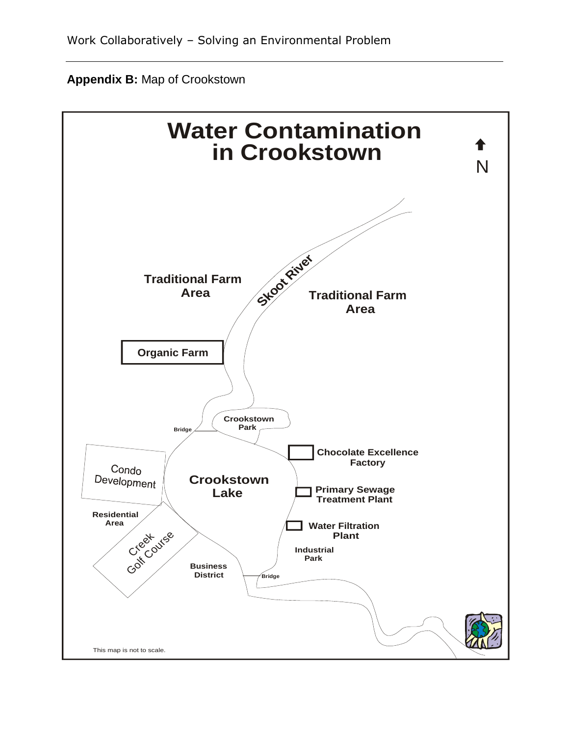

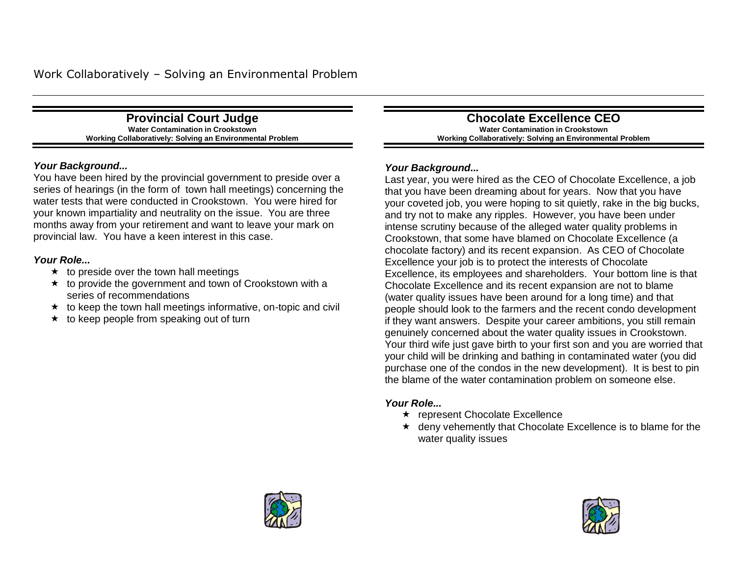**Provincial Court Judge Water Contamination in Crookstown Working Collaboratively: Solving an Environmental Problem**

#### *Your Background...*

You have been hired by the provincial government to preside over a series of hearings (in the form of town hall meetings) concerning the water tests that were conducted in Crookstown. You were hired for your known impartiality and neutrality on the issue. You are three months away from your retirement and want to leave your mark on provincial law. You have a keen interest in this case.

#### *Your Role...*

- $\star$  to preside over the town hall meetings
- $\star$  to provide the government and town of Crookstown with a series of recommendations
- $\star$  to keep the town hall meetings informative, on-topic and civil
- $\star$  to keep people from speaking out of turn

**Chocolate Excellence CEO Water Contamination in Crookstown Working Collaboratively: Solving an Environmental Problem**

#### *Your Background...*

Last year, you were hired as the CEO of Chocolate Excellence, a job that you have been dreaming about for years. Now that you have your coveted job, you were hoping to sit quietly, rake in the big bucks, and try not to make any ripples. However, you have been under intense scrutiny because of the alleged water quality problems in Crookstown, that some have blamed on Chocolate Excellence (a chocolate factory) and its recent expansion. As CEO of Chocolate Excellence your job is to protect the interests of Chocolate Excellence, its employees and shareholders. Your bottom line is that Chocolate Excellence and its recent expansion are not to blame (water quality issues have been around for a long time) and that people should look to the farmers and the recent condo development if they want answers. Despite your career ambitions, you still remain genuinely concerned about the water quality issues in Crookstown. Your third wife just gave birth to your first son and you are worried that your child will be drinking and bathing in contaminated water (you did purchase one of the condos in the new development). It is best to pin the blame of the water contamination problem on someone else.

- \* represent Chocolate Excellence
- $\star$  deny vehemently that Chocolate Excellence is to blame for the water quality issues



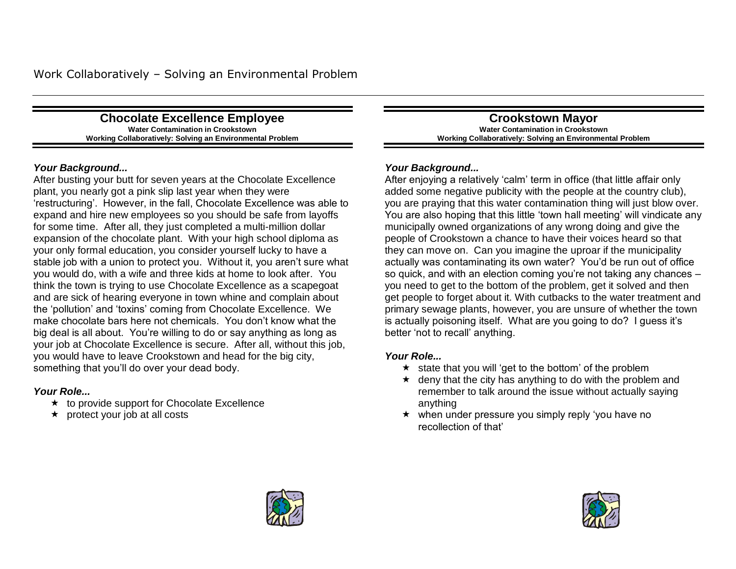**Chocolate Excellence Employee Water Contamination in Crookstown Working Collaboratively: Solving an Environmental Problem**

#### *Your Background...*

After busting your butt for seven years at the Chocolate Excellence plant, you nearly got a pink slip last year when they were ‗restructuring'. However, in the fall, Chocolate Excellence was able to expand and hire new employees so you should be safe from layoffs for some time. After all, they just completed a multi-million dollar expansion of the chocolate plant. With your high school diploma as your only formal education, you consider yourself lucky to have a stable job with a union to protect you. Without it, you aren't sure what you would do, with a wife and three kids at home to look after. You think the town is trying to use Chocolate Excellence as a scapegoat and are sick of hearing everyone in town whine and complain about the 'pollution' and 'toxins' coming from Chocolate Excellence. We make chocolate bars here not chemicals. You don't know what the big deal is all about. You're willing to do or say anything as long as your job at Chocolate Excellence is secure. After all, without this job, you would have to leave Crookstown and head for the big city, something that you'll do over your dead body.

#### *Your Role...*

- $\star$  to provide support for Chocolate Excellence
- $\star$  protect your job at all costs

**Crookstown Mayor Water Contamination in Crookstown Working Collaboratively: Solving an Environmental Problem**

### *Your Background...*

After enjoying a relatively 'calm' term in office (that little affair only added some negative publicity with the people at the country club), you are praying that this water contamination thing will just blow over. You are also hoping that this little 'town hall meeting' will vindicate any municipally owned organizations of any wrong doing and give the people of Crookstown a chance to have their voices heard so that they can move on. Can you imagine the uproar if the municipality actually was contaminating its own water? You'd be run out of office so quick, and with an election coming you're not taking any chances – you need to get to the bottom of the problem, get it solved and then get people to forget about it. With cutbacks to the water treatment and primary sewage plants, however, you are unsure of whether the town is actually poisoning itself. What are you going to do? I guess it's better 'not to recall' anything.

- $\star$  state that you will 'get to the bottom' of the problem
- $\star$  deny that the city has anything to do with the problem and remember to talk around the issue without actually saying anything
- $\star$  when under pressure you simply reply 'you have no recollection of that'



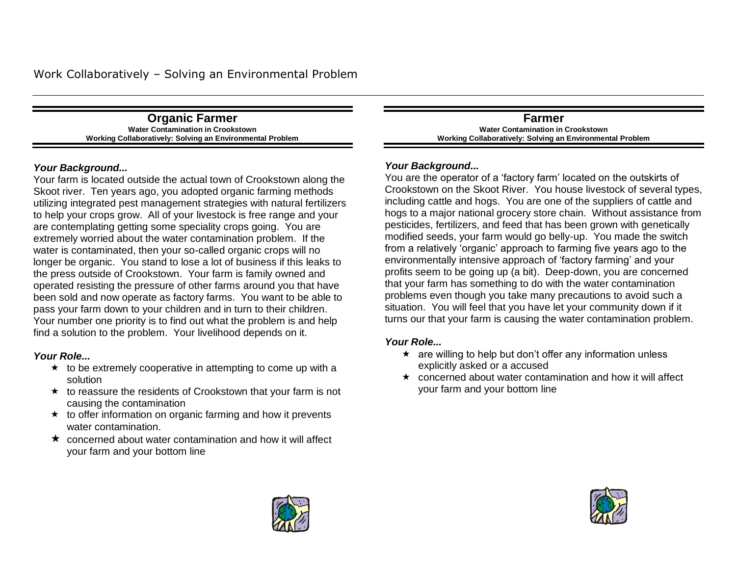**Organic Farmer Water Contamination in Crookstown Working Collaboratively: Solving an Environmental Problem**

#### *Your Background...*

Your farm is located outside the actual town of Crookstown along the Skoot river. Ten years ago, you adopted organic farming methods utilizing integrated pest management strategies with natural fertilizers to help your crops grow. All of your livestock is free range and your are contemplating getting some speciality crops going. You are extremely worried about the water contamination problem. If the water is contaminated, then your so-called organic crops will no longer be organic. You stand to lose a lot of business if this leaks to the press outside of Crookstown. Your farm is family owned and operated resisting the pressure of other farms around you that have been sold and now operate as factory farms. You want to be able to pass your farm down to your children and in turn to their children. Your number one priority is to find out what the problem is and help find a solution to the problem. Your livelihood depends on it.

#### *Your Role...*

- $\star$  to be extremely cooperative in attempting to come up with a solution
- $\star$  to reassure the residents of Crookstown that your farm is not causing the contamination
- $\star$  to offer information on organic farming and how it prevents water contamination.
- $\star$  concerned about water contamination and how it will affect your farm and your bottom line

**Farmer Water Contamination in Crookstown Working Collaboratively: Solving an Environmental Problem**

#### *Your Background...*

You are the operator of a 'factory farm' located on the outskirts of Crookstown on the Skoot River. You house livestock of several types, including cattle and hogs. You are one of the suppliers of cattle and hogs to a major national grocery store chain. Without assistance from pesticides, fertilizers, and feed that has been grown with genetically modified seeds, your farm would go belly-up. You made the switch from a relatively 'organic' approach to farming five years ago to the environmentally intensive approach of 'factory farming' and your profits seem to be going up (a bit). Deep-down, you are concerned that your farm has something to do with the water contamination problems even though you take many precautions to avoid such a situation. You will feel that you have let your community down if it turns our that your farm is causing the water contamination problem.

- $\star$  are willing to help but don't offer any information unless explicitly asked or a accused
- $\star$  concerned about water contamination and how it will affect your farm and your bottom line



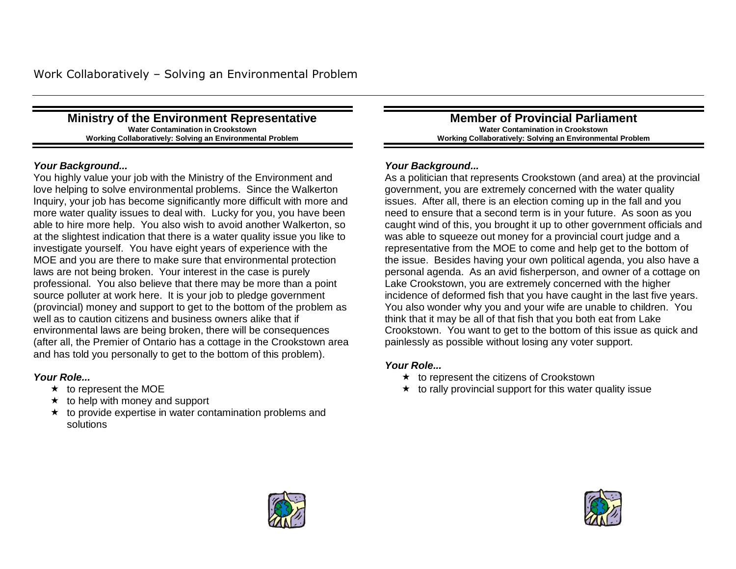#### **Ministry of the Environment Representative Water Contamination in Crookstown Working Collaboratively: Solving an Environmental Problem**

#### *Your Background...*

You highly value your job with the Ministry of the Environment and love helping to solve environmental problems. Since the Walkerton Inquiry, your job has become significantly more difficult with more and more water quality issues to deal with. Lucky for you, you have been able to hire more help. You also wish to avoid another Walkerton, so at the slightest indication that there is a water quality issue you like to investigate yourself. You have eight years of experience with the MOE and you are there to make sure that environmental protection laws are not being broken. Your interest in the case is purely professional. You also believe that there may be more than a point source polluter at work here. It is your job to pledge government (provincial) money and support to get to the bottom of the problem as well as to caution citizens and business owners alike that if environmental laws are being broken, there will be consequences (after all, the Premier of Ontario has a cottage in the Crookstown area and has told you personally to get to the bottom of this problem).

#### *Your Role...*

- $\star$  to represent the MOE
- $\star$  to help with money and support
- $\star$  to provide expertise in water contamination problems and solutions

**Member of Provincial Parliament Water Contamination in Crookstown Working Collaboratively: Solving an Environmental Problem**

#### *Your Background...*

As a politician that represents Crookstown (and area) at the provincial government, you are extremely concerned with the water quality issues. After all, there is an election coming up in the fall and you need to ensure that a second term is in your future. As soon as you caught wind of this, you brought it up to other government officials and was able to squeeze out money for a provincial court judge and a representative from the MOE to come and help get to the bottom of the issue. Besides having your own political agenda, you also have a personal agenda. As an avid fisherperson, and owner of a cottage on Lake Crookstown, you are extremely concerned with the higher incidence of deformed fish that you have caught in the last five years. You also wonder why you and your wife are unable to children. You think that it may be all of that fish that you both eat from Lake Crookstown. You want to get to the bottom of this issue as quick and painlessly as possible without losing any voter support.

- $\star$  to represent the citizens of Crookstown
- $\star$  to rally provincial support for this water quality issue



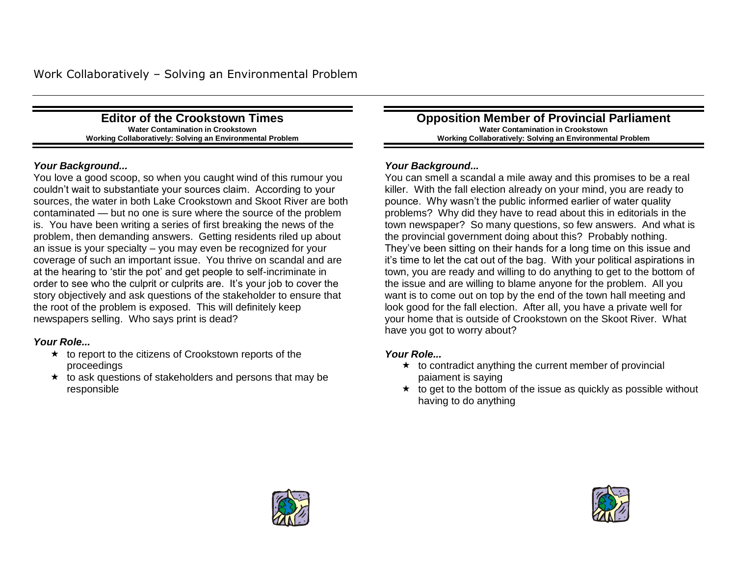**Editor of the Crookstown Times Water Contamination in Crookstown Working Collaboratively: Solving an Environmental Problem**

#### *Your Background...*

You love a good scoop, so when you caught wind of this rumour you couldn't wait to substantiate your sources claim. According to your sources, the water in both Lake Crookstown and Skoot River are both contaminated — but no one is sure where the source of the problem is. You have been writing a series of first breaking the news of the problem, then demanding answers. Getting residents riled up about an issue is your specialty – you may even be recognized for your coverage of such an important issue. You thrive on scandal and are at the hearing to 'stir the pot' and get people to self-incriminate in order to see who the culprit or culprits are. It's your job to cover the story objectively and ask questions of the stakeholder to ensure that the root of the problem is exposed. This will definitely keep newspapers selling. Who says print is dead?

#### *Your Role...*

- $\star$  to report to the citizens of Crookstown reports of the proceedings
- $\star$  to ask questions of stakeholders and persons that may be responsible

**Opposition Member of Provincial Parliament Water Contamination in Crookstown Working Collaboratively: Solving an Environmental Problem**

#### *Your Background...*

You can smell a scandal a mile away and this promises to be a real killer. With the fall election already on your mind, you are ready to pounce. Why wasn't the public informed earlier of water quality problems? Why did they have to read about this in editorials in the town newspaper? So many questions, so few answers. And what is the provincial government doing about this? Probably nothing. They've been sitting on their hands for a long time on this issue and it's time to let the cat out of the bag. With your political aspirations in town, you are ready and willing to do anything to get to the bottom of the issue and are willing to blame anyone for the problem. All you want is to come out on top by the end of the town hall meeting and look good for the fall election. After all, you have a private well for your home that is outside of Crookstown on the Skoot River. What have you got to worry about?

- $\star$  to contradict anything the current member of provincial paiament is saying
- $\star$  to get to the bottom of the issue as quickly as possible without having to do anything



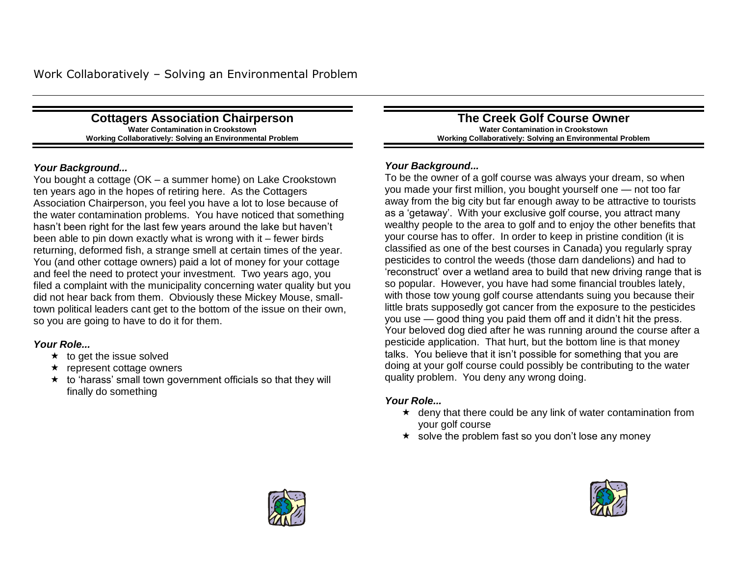**Cottagers Association Chairperson Water Contamination in Crookstown Working Collaboratively: Solving an Environmental Problem**

#### *Your Background...*

You bought a cottage (OK – a summer home) on Lake Crookstown ten years ago in the hopes of retiring here. As the Cottagers Association Chairperson, you feel you have a lot to lose because of the water contamination problems. You have noticed that something hasn't been right for the last few years around the lake but haven't been able to pin down exactly what is wrong with it – fewer birds returning, deformed fish, a strange smell at certain times of the year. You (and other cottage owners) paid a lot of money for your cottage and feel the need to protect your investment. Two years ago, you filed a complaint with the municipality concerning water quality but you did not hear back from them. Obviously these Mickey Mouse, smalltown political leaders cant get to the bottom of the issue on their own, so you are going to have to do it for them.

#### *Your Role...*

- $\star$  to get the issue solved
- $\star$  represent cottage owners
- $\star$  to 'harass' small town government officials so that they will finally do something

**The Creek Golf Course Owner Water Contamination in Crookstown Working Collaboratively: Solving an Environmental Problem**

#### *Your Background...*

To be the owner of a golf course was always your dream, so when you made your first million, you bought yourself one — not too far away from the big city but far enough away to be attractive to tourists as a 'getaway'. With your exclusive golf course, you attract many wealthy people to the area to golf and to enjoy the other benefits that your course has to offer. In order to keep in pristine condition (it is classified as one of the best courses in Canada) you regularly spray pesticides to control the weeds (those darn dandelions) and had to ‗reconstruct' over a wetland area to build that new driving range that is so popular. However, you have had some financial troubles lately, with those tow young golf course attendants suing you because their little brats supposedly got cancer from the exposure to the pesticides you use — good thing you paid them off and it didn't hit the press. Your beloved dog died after he was running around the course after a pesticide application. That hurt, but the bottom line is that money talks. You believe that it isn't possible for something that you are doing at your golf course could possibly be contributing to the water quality problem. You deny any wrong doing.

- $\star$  deny that there could be any link of water contamination from your golf course
- $\star$  solve the problem fast so you don't lose any money



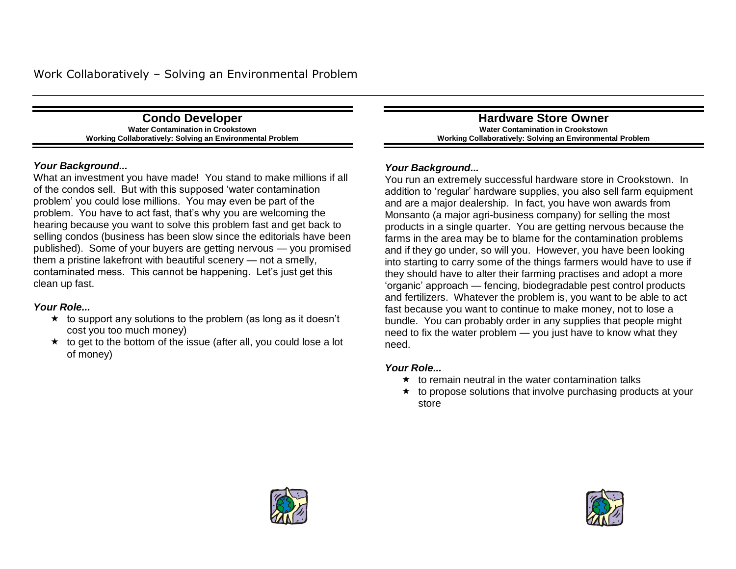**Condo Developer Water Contamination in Crookstown Working Collaboratively: Solving an Environmental Problem**

#### *Your Background...*

What an investment you have made! You stand to make millions if all of the condos sell. But with this supposed 'water contamination problem' you could lose millions. You may even be part of the problem. You have to act fast, that's why you are welcoming the hearing because you want to solve this problem fast and get back to selling condos (business has been slow since the editorials have been published). Some of your buyers are getting nervous — you promised them a pristine lakefront with beautiful scenery — not a smelly, contaminated mess. This cannot be happening. Let's just get this clean up fast.

#### *Your Role...*

- $\star$  to support any solutions to the problem (as long as it doesn't cost you too much money)
- $\star$  to get to the bottom of the issue (after all, you could lose a lot of money)

**Hardware Store Owner Water Contamination in Crookstown Working Collaboratively: Solving an Environmental Problem**

#### *Your Background...*

You run an extremely successful hardware store in Crookstown. In addition to 'regular' hardware supplies, you also sell farm equipment and are a major dealership. In fact, you have won awards from Monsanto (a major agri-business company) for selling the most products in a single quarter. You are getting nervous because the farms in the area may be to blame for the contamination problems and if they go under, so will you. However, you have been looking into starting to carry some of the things farmers would have to use if they should have to alter their farming practises and adopt a more ‗organic' approach — fencing, biodegradable pest control products and fertilizers. Whatever the problem is, you want to be able to act fast because you want to continue to make money, not to lose a bundle. You can probably order in any supplies that people might need to fix the water problem — you just have to know what they need.

- $\star$  to remain neutral in the water contamination talks
- $\star$  to propose solutions that involve purchasing products at your store



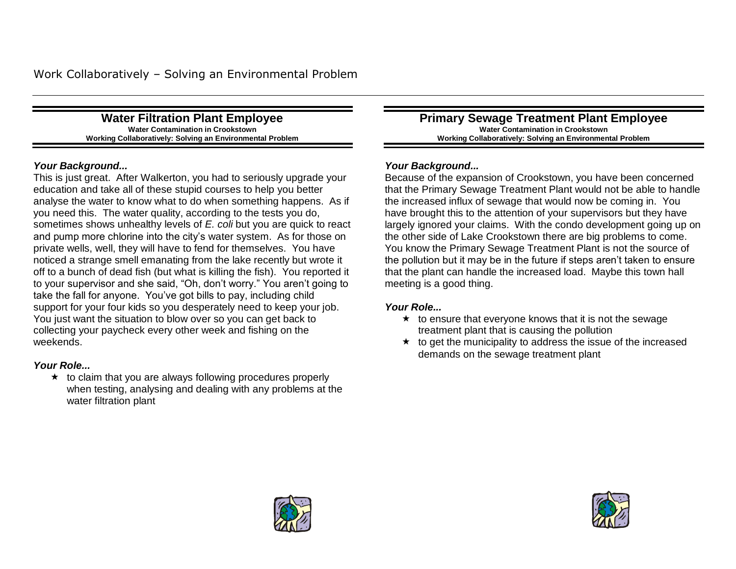**Water Filtration Plant Employee Water Contamination in Crookstown Working Collaboratively: Solving an Environmental Problem**

#### *Your Background...*

This is just great. After Walkerton, you had to seriously upgrade your education and take all of these stupid courses to help you better analyse the water to know what to do when something happens. As if you need this. The water quality, according to the tests you do, sometimes shows unhealthy levels of *E. coli* but you are quick to react and pump more chlorine into the city's water system. As for those on private wells, well, they will have to fend for themselves. You have noticed a strange smell emanating from the lake recently but wrote it off to a bunch of dead fish (but what is killing the fish). You reported it to your supervisor and she said, "Oh, don't worry." You aren't going to take the fall for anyone. You've got bills to pay, including child support for your four kids so you desperately need to keep your job. You just want the situation to blow over so you can get back to collecting your paycheck every other week and fishing on the weekends.

#### *Your Role...*

 $\star$  to claim that you are always following procedures properly when testing, analysing and dealing with any problems at the water filtration plant

**Primary Sewage Treatment Plant Employee Water Contamination in Crookstown Working Collaboratively: Solving an Environmental Problem**

#### *Your Background...*

Because of the expansion of Crookstown, you have been concerned that the Primary Sewage Treatment Plant would not be able to handle the increased influx of sewage that would now be coming in. You have brought this to the attention of your supervisors but they have largely ignored your claims. With the condo development going up on the other side of Lake Crookstown there are big problems to come. You know the Primary Sewage Treatment Plant is not the source of the pollution but it may be in the future if steps aren't taken to ensure that the plant can handle the increased load. Maybe this town hall meeting is a good thing.

- $\star$  to ensure that everyone knows that it is not the sewage treatment plant that is causing the pollution
- $\star$  to get the municipality to address the issue of the increased demands on the sewage treatment plant



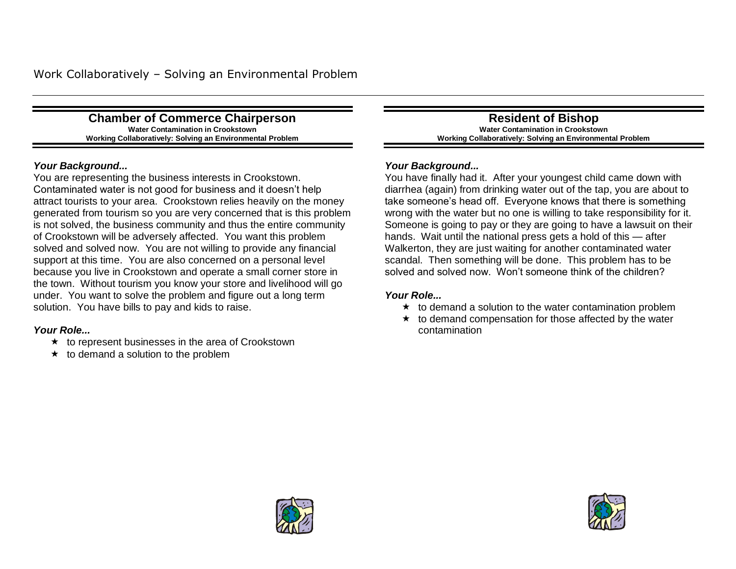**Chamber of Commerce Chairperson Water Contamination in Crookstown Working Collaboratively: Solving an Environmental Problem**

#### *Your Background...*

You are representing the business interests in Crookstown. Contaminated water is not good for business and it doesn't help attract tourists to your area. Crookstown relies heavily on the money generated from tourism so you are very concerned that is this problem is not solved, the business community and thus the entire community of Crookstown will be adversely affected. You want this problem solved and solved now. You are not willing to provide any financial support at this time. You are also concerned on a personal level because you live in Crookstown and operate a small corner store in the town. Without tourism you know your store and livelihood will go under. You want to solve the problem and figure out a long term solution. You have bills to pay and kids to raise.

#### *Your Role...*

- $\star$  to represent businesses in the area of Crookstown
- $\star$  to demand a solution to the problem

**Resident of Bishop Water Contamination in Crookstown Working Collaboratively: Solving an Environmental Problem**

#### *Your Background...*

You have finally had it. After your youngest child came down with diarrhea (again) from drinking water out of the tap, you are about to take someone's head off. Everyone knows that there is something wrong with the water but no one is willing to take responsibility for it. Someone is going to pay or they are going to have a lawsuit on their hands. Wait until the national press gets a hold of this — after Walkerton, they are just waiting for another contaminated water scandal. Then something will be done. This problem has to be solved and solved now. Won't someone think of the children?

- $\star$  to demand a solution to the water contamination problem
- $\star$  to demand compensation for those affected by the water contamination



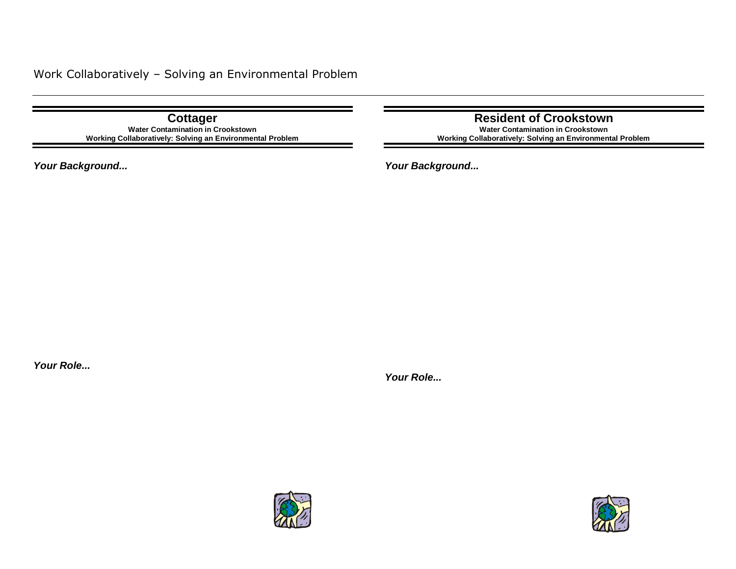**Cottager Water Contamination in Crookstown Working Collaboratively: Solving an Environmental Problem**

*Your Background...*

**Resident of Crookstown**

**Water Contamination in Crookstown Working Collaboratively: Solving an Environmental Problem**

*Your Background...*

*Your Role...*



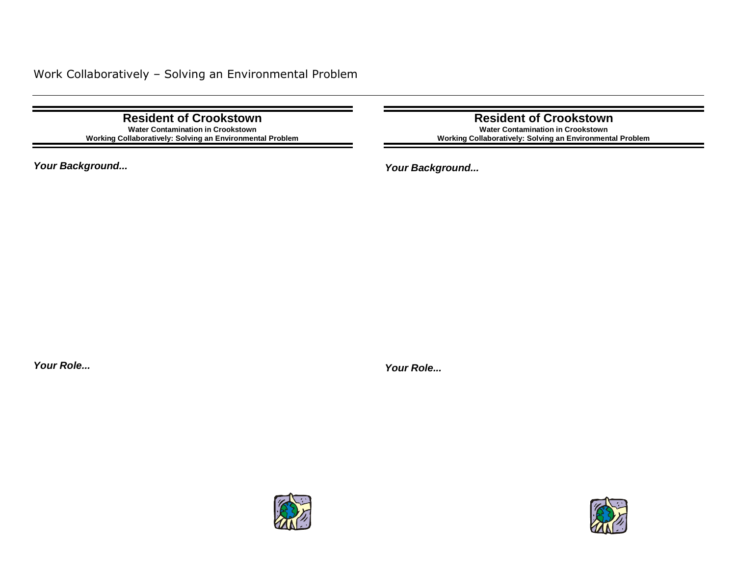**Resident of Crookstown Water Contamination in Crookstown Working Collaboratively: Solving an Environmental Problem**

*Your Background...*

**Resident of Crookstown Water Contamination in Crookstown**

**Working Collaboratively: Solving an Environmental Problem**

*Your Background...*

*Your Role...*



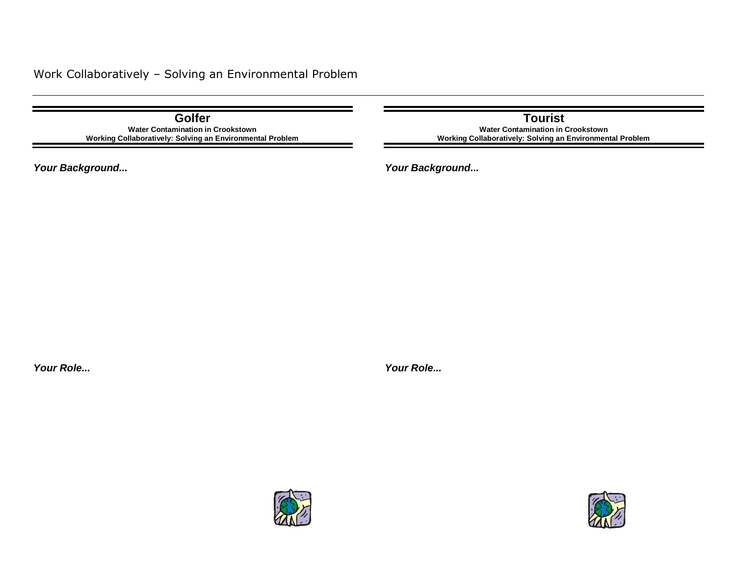## Work Collaboratively – Solving an Environmental Problem

**Golfer Water Contamination in Crookstown Working Collaboratively: Solving an Environmental Problem**

*Your Background...*

**Tourist Water Contamination in Crookstown Working Collaboratively: Solving an Environmental Problem**

*Your Background...*

*Your Role...*



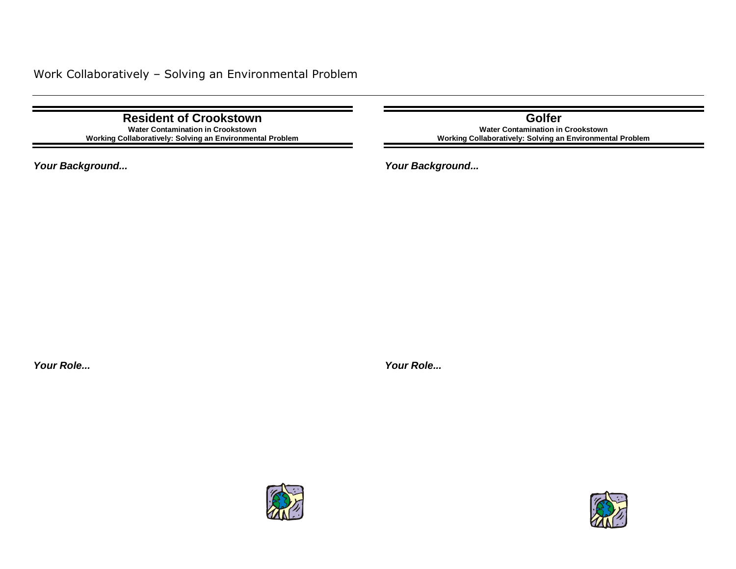**Resident of Crookstown Water Contamination in Crookstown Working Collaboratively: Solving an Environmental Problem**

*Your Background...*

**Golfer Water Contamination in Crookstown Working Collaboratively: Solving an Environmental Problem**

*Your Background...*

*Your Role...*

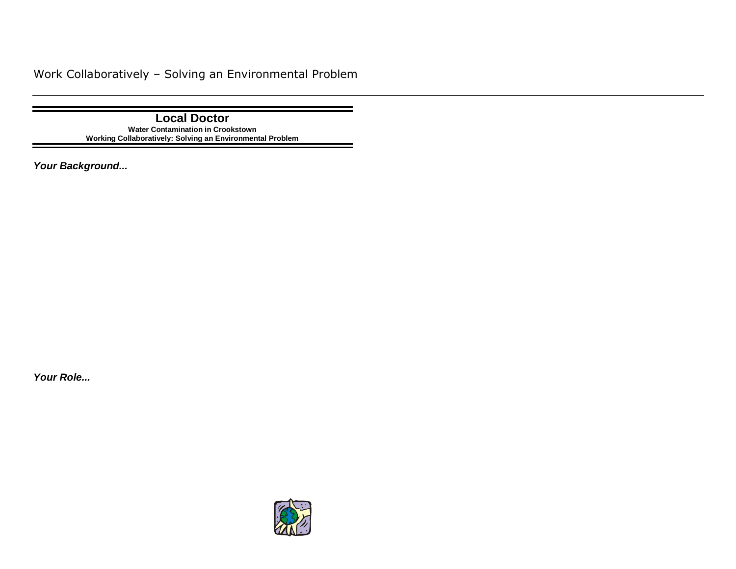## Work Collaboratively – Solving an Environmental Problem

**Local Doctor Water Contamination in Crookstown Working Collaboratively: Solving an Environmental Problem**

*Your Background...*

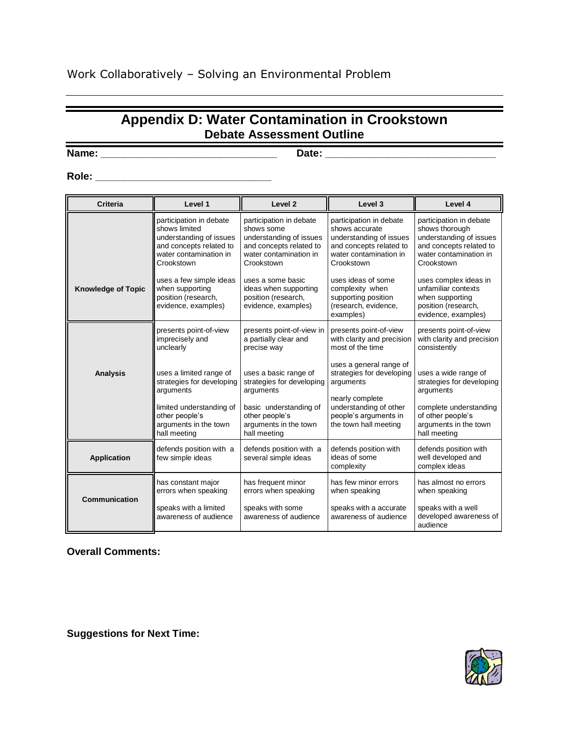## **Appendix D: Water Contamination in Crookstown Debate Assessment Outline Name: \_\_\_\_\_\_\_\_\_\_\_\_\_\_\_\_\_\_\_\_\_\_\_\_\_\_\_\_\_\_\_ Date: \_\_\_\_\_\_\_\_\_\_\_\_\_\_\_\_\_\_\_\_\_\_\_\_\_\_\_\_\_\_**

### **Role: \_\_\_\_\_\_\_\_\_\_\_\_\_\_\_\_\_\_\_\_\_\_\_\_\_\_\_\_\_\_\_**

| <b>Criteria</b>           | Level 1                                                                                                                                | Level <sub>2</sub>                                                                                                                  | Level 3                                                                                                                                 | Level 4                                                                                                                                 |
|---------------------------|----------------------------------------------------------------------------------------------------------------------------------------|-------------------------------------------------------------------------------------------------------------------------------------|-----------------------------------------------------------------------------------------------------------------------------------------|-----------------------------------------------------------------------------------------------------------------------------------------|
|                           | participation in debate<br>shows limited<br>understanding of issues<br>and concepts related to<br>water contamination in<br>Crookstown | participation in debate<br>shows some<br>understanding of issues<br>and concepts related to<br>water contamination in<br>Crookstown | participation in debate<br>shows accurate<br>understanding of issues<br>and concepts related to<br>water contamination in<br>Crookstown | participation in debate<br>shows thorough<br>understanding of issues<br>and concepts related to<br>water contamination in<br>Crookstown |
| <b>Knowledge of Topic</b> | uses a few simple ideas<br>when supporting<br>position (research,<br>evidence, examples)                                               | uses a some basic<br>ideas when supporting<br>position (research,<br>evidence, examples)                                            | uses ideas of some<br>complexity when<br>supporting position<br>(research, evidence,<br>examples)                                       | uses complex ideas in<br>unfamiliar contexts<br>when supporting<br>position (research,<br>evidence, examples)                           |
|                           | presents point-of-view<br>imprecisely and<br>unclearly                                                                                 | presents point-of-view in<br>a partially clear and<br>precise way                                                                   | presents point-of-view<br>with clarity and precision<br>most of the time                                                                | presents point-of-view<br>with clarity and precision<br>consistently                                                                    |
| <b>Analysis</b>           | uses a limited range of<br>strategies for developing<br>arguments                                                                      | uses a basic range of<br>strategies for developing<br>arguments                                                                     | uses a general range of<br>strategies for developing<br>arguments<br>nearly complete                                                    | uses a wide range of<br>strategies for developing<br>arguments                                                                          |
|                           | limited understanding of<br>other people's<br>arguments in the town<br>hall meeting                                                    | basic understanding of<br>other people's<br>arguments in the town<br>hall meeting                                                   | understanding of other<br>people's arguments in<br>the town hall meeting                                                                | complete understanding<br>of other people's<br>arguments in the town<br>hall meeting                                                    |
| <b>Application</b>        | defends position with a<br>few simple ideas                                                                                            | defends position with a<br>several simple ideas                                                                                     | defends position with<br>ideas of some<br>complexity                                                                                    | defends position with<br>well developed and<br>complex ideas                                                                            |
|                           | has constant major<br>errors when speaking                                                                                             | has frequent minor<br>errors when speaking                                                                                          | has few minor errors<br>when speaking                                                                                                   | has almost no errors<br>when speaking                                                                                                   |
| <b>Communication</b>      | speaks with a limited<br>awareness of audience                                                                                         | speaks with some<br>awareness of audience                                                                                           | speaks with a accurate<br>awareness of audience                                                                                         | speaks with a well<br>developed awareness of<br>audience                                                                                |

**Overall Comments:**

**Suggestions for Next Time:**



 $\overline{\phantom{0}}$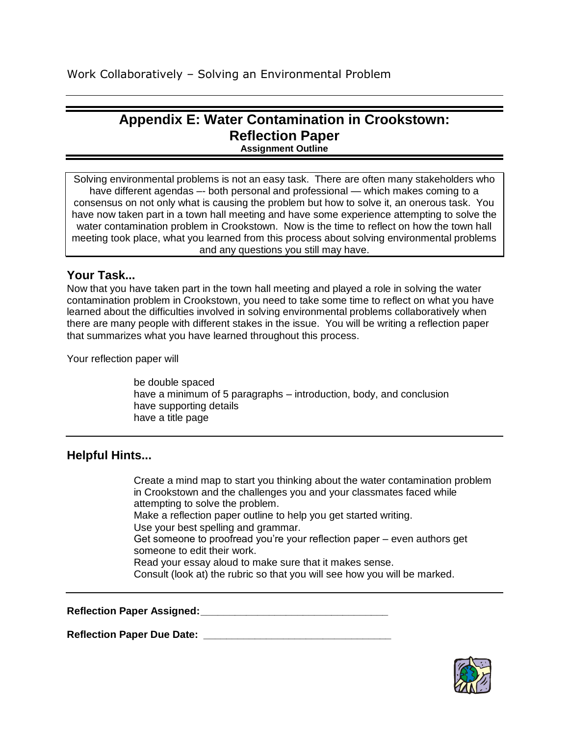# **Appendix E: Water Contamination in Crookstown: Reflection Paper**

**Assignment Outline**

Solving environmental problems is not an easy task. There are often many stakeholders who have different agendas -- both personal and professional - which makes coming to a consensus on not only what is causing the problem but how to solve it, an onerous task. You have now taken part in a town hall meeting and have some experience attempting to solve the water contamination problem in Crookstown. Now is the time to reflect on how the town hall meeting took place, what you learned from this process about solving environmental problems and any questions you still may have.

### **Your Task...**

Now that you have taken part in the town hall meeting and played a role in solving the water contamination problem in Crookstown, you need to take some time to reflect on what you have learned about the difficulties involved in solving environmental problems collaboratively when there are many people with different stakes in the issue. You will be writing a reflection paper that summarizes what you have learned throughout this process.

Your reflection paper will

be double spaced have a minimum of 5 paragraphs – introduction, body, and conclusion have supporting details have a title page

#### **Helpful Hints...**

Create a mind map to start you thinking about the water contamination problem in Crookstown and the challenges you and your classmates faced while attempting to solve the problem. Make a reflection paper outline to help you get started writing. Use your best spelling and grammar. Get someone to proofread you're your reflection paper – even authors get someone to edit their work. Read your essay aloud to make sure that it makes sense. Consult (look at) the rubric so that you will see how you will be marked.

**Reflection Paper Assigned:\_\_\_\_\_\_\_\_\_\_\_\_\_\_\_\_\_\_\_\_\_\_\_\_\_\_\_\_\_\_\_\_\_**

**Reflection Paper Due Date: \_\_\_\_\_\_\_\_\_\_\_\_\_\_\_\_\_\_\_\_\_\_\_\_\_\_\_\_\_\_\_\_\_**